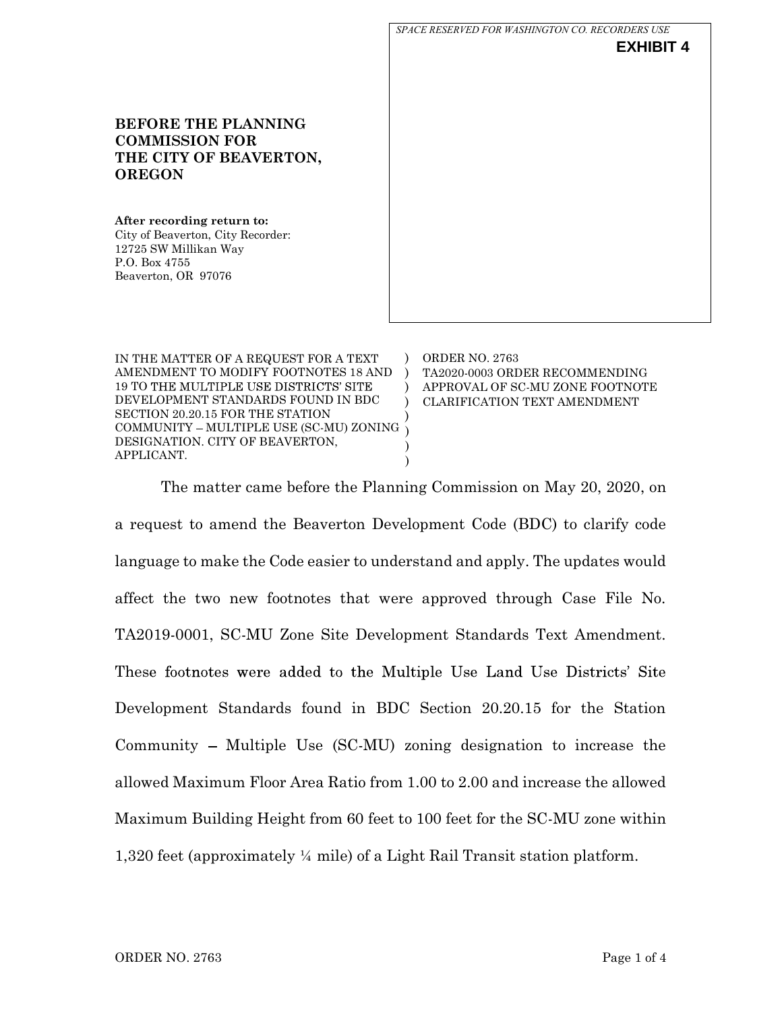|                                                                                                                                                                                                          | SPACE RESERVED FOR WASHINGTON CO. RECORDERS USE<br><b>EXHIBIT 4</b>                                                               |
|----------------------------------------------------------------------------------------------------------------------------------------------------------------------------------------------------------|-----------------------------------------------------------------------------------------------------------------------------------|
| <b>BEFORE THE PLANNING</b><br><b>COMMISSION FOR</b><br>THE CITY OF BEAVERTON,<br><b>OREGON</b>                                                                                                           |                                                                                                                                   |
| After recording return to:<br>City of Beaverton, City Recorder:<br>12725 SW Millikan Way<br>P.O. Box 4755<br>Beaverton, OR 97076                                                                         |                                                                                                                                   |
| IN THE MATTER OF A REQUEST FOR A TEXT<br>AMENDMENT TO MODIFY FOOTNOTES 18 AND<br>19 TO THE MULTIPLE USE DISTRICTS' SITE<br>DEVELOPMENT STANDARDS FOUND IN BDC<br><b>SECTION 20.20.15 FOR THE STATION</b> | <b>ORDER NO. 2763</b><br>TA2020-0003 ORDER RECOMMENDING<br>APPROVAL OF SC-MU ZONE FOOTNOTE<br><b>CLARIFICATION TEXT AMENDMENT</b> |

) ) )

The matter came before the Planning Commission on May 20, 2020, on a request to amend the Beaverton Development Code (BDC) to clarify code language to make the Code easier to understand and apply. The updates would affect the two new footnotes that were approved through Case File No. TA2019-0001, SC-MU Zone Site Development Standards Text Amendment. These footnotes were added to the Multiple Use Land Use Districts' Site Development Standards found in BDC Section 20.20.15 for the Station Community – Multiple Use  $(SC-MU)$  zoning designation to increase the allowed Maximum Floor Area Ratio from 1.00 to 2.00 and increase the allowed Maximum Building Height from 60 feet to 100 feet for the SC-MU zone within 1,320 feet (approximately ¼ mile) of a Light Rail Transit station platform.

COMMUNITY – MULTIPLE USE (SC-MU) ZONING

DESIGNATION. CITY OF BEAVERTON,

APPLICANT.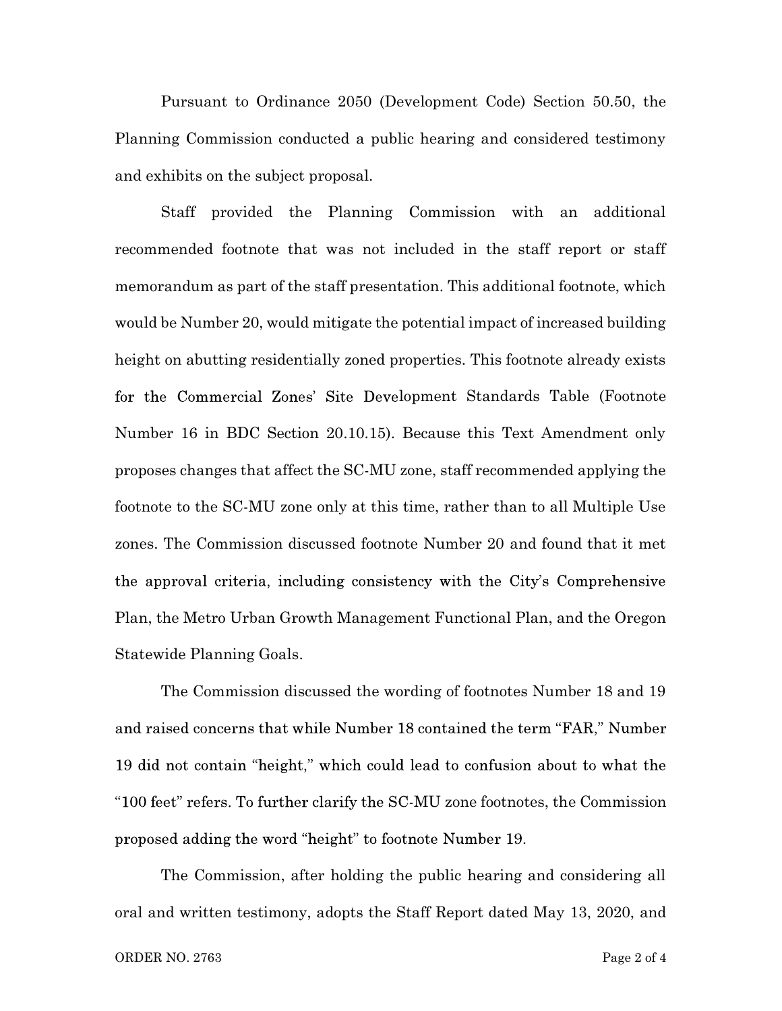Pursuant to Ordinance 2050 (Development Code) Section 50.50, the Planning Commission conducted a public hearing and considered testimony and exhibits on the subject proposal.

Staff provided the Planning Commission with an additional recommended footnote that was not included in the staff report or staff memorandum as part of the staff presentation. This additional footnote, which would be Number 20, would mitigate the potential impact of increased building height on abutting residentially zoned properties. This footnote already exists for the Commercial Zones' Site Development Standards Table (Footnote Number 16 in BDC Section 20.10.15). Because this Text Amendment only proposes changes that affect the SC-MU zone, staff recommended applying the footnote to the SC-MU zone only at this time, rather than to all Multiple Use zones. The Commission discussed footnote Number 20 and found that it met the approval criteria, including consistency with the City's Comprehensive Plan, the Metro Urban Growth Management Functional Plan, and the Oregon Statewide Planning Goals.

The Commission discussed the wording of footnotes Number 18 and 19 and raised concerns that while Number 18 contained the term "FAR," Number 19 did not contain "height," which could lead to confusion about to what the "100 feet" refers. To further clarify the  $SC-MU$  zone footnotes, the Commission proposed adding the word "height" to footnote Number 19.

The Commission, after holding the public hearing and considering all oral and written testimony, adopts the Staff Report dated May 13, 2020, and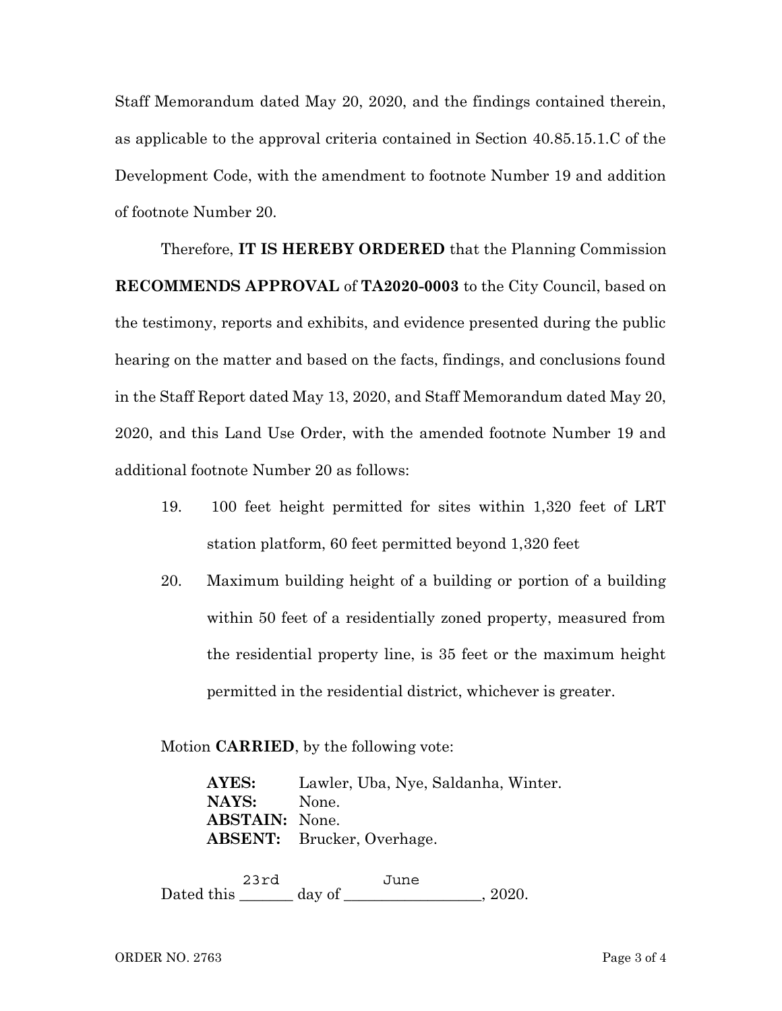Staff Memorandum dated May 20, 2020, and the findings contained therein, as applicable to the approval criteria contained in Section 40.85.15.1.C of the Development Code, with the amendment to footnote Number 19 and addition of footnote Number 20.

Therefore, IT IS HEREBY ORDERED that the Planning Commission RECOMMENDS APPROVAL of TA2020-0003 to the City Council, based on the testimony, reports and exhibits, and evidence presented during the public hearing on the matter and based on the facts, findings, and conclusions found in the Staff Report dated May 13, 2020, and Staff Memorandum dated May 20, 2020, and this Land Use Order, with the amended footnote Number 19 and additional footnote Number 20 as follows:

- 19. 100 feet height permitted for sites within 1,320 feet of LRT station platform, 60 feet permitted beyond 1,320 feet
- 20. Maximum building height of a building or portion of a building within 50 feet of a residentially zoned property, measured from the residential property line, is 35 feet or the maximum height permitted in the residential district, whichever is greater.

Motion CARRIED, by the following vote:

AYES: Lawler, Uba, Nye, Saldanha, Winter. NAYS: None. ABSTAIN: None. ABSENT: Brucker, Overhage.

 $23rd$ June Dated this  $\qquad \qquad \text{day of} \qquad \qquad .2020.$